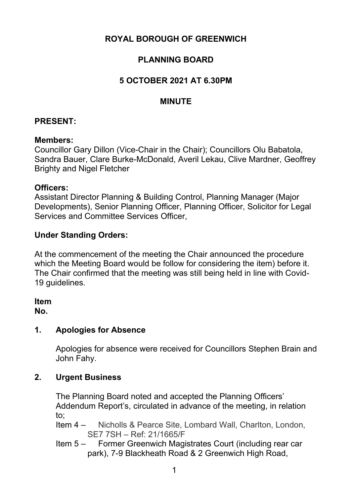# **ROYAL BOROUGH OF GREENWICH**

# **PLANNING BOARD**

## **5 OCTOBER 2021 AT 6.30PM**

### **MINUTE**

### **PRESENT:**

#### **Members:**

Councillor Gary Dillon (Vice-Chair in the Chair); Councillors Olu Babatola, Sandra Bauer, Clare Burke-McDonald, Averil Lekau, Clive Mardner, Geoffrey Brighty and Nigel Fletcher

#### **Officers:**

Assistant Director Planning & Building Control, Planning Manager (Major Developments), Senior Planning Officer, Planning Officer, Solicitor for Legal Services and Committee Services Officer,

### **Under Standing Orders:**

At the commencement of the meeting the Chair announced the procedure which the Meeting Board would be follow for considering the item) before it. The Chair confirmed that the meeting was still being held in line with Covid-19 guidelines.

#### **Item**

**No.** 

# **1. Apologies for Absence**

Apologies for absence were received for Councillors Stephen Brain and John Fahy.

### **2. Urgent Business**

The Planning Board noted and accepted the Planning Officers' Addendum Report's, circulated in advance of the meeting, in relation to;

- Item 4 Nicholls & Pearce Site, Lombard Wall, Charlton, London, SE7 7SH – Ref: 21/1665/F
- Item 5 Former Greenwich Magistrates Court (including rear car park), 7-9 Blackheath Road & 2 Greenwich High Road,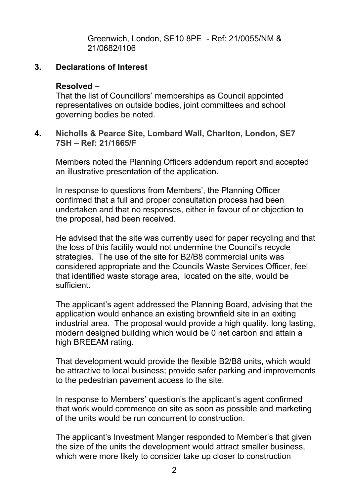Greenwich, London, SE10 8PE - Ref: 21/0055/NM & 21/0682/I106

### **3. Declarations of Interest**

#### **Resolved –**

That the list of Councillors' memberships as Council appointed representatives on outside bodies, joint committees and school governing bodies be noted.

#### **4. Nicholls & Pearce Site, Lombard Wall, Charlton, London, SE7 7SH – Ref: 21/1665/F**

Members noted the Planning Officers addendum report and accepted an illustrative presentation of the application.

In response to questions from Members', the Planning Officer confirmed that a full and proper consultation process had been undertaken and that no responses, either in favour of or objection to the proposal, had been received.

He advised that the site was currently used for paper recycling and that the loss of this facility would not undermine the Council's recycle strategies. The use of the site for B2/B8 commercial units was considered appropriate and the Councils Waste Services Officer, feel that identified waste storage area, located on the site, would be sufficient.

The applicant's agent addressed the Planning Board, advising that the application would enhance an existing brownfield site in an exiting industrial area. The proposal would provide a high quality, long lasting, modern designed building which would be 0 net carbon and attain a high BREEAM rating.

That development would provide the flexible B2/B8 units, which would be attractive to local business; provide safer parking and improvements to the pedestrian pavement access to the site.

In response to Members' question's the applicant's agent confirmed that work would commence on site as soon as possible and marketing of the units would be run concurrent to construction.

The applicant's Investment Manger responded to Member's that given the size of the units the development would attract smaller business, which were more likely to consider take up closer to construction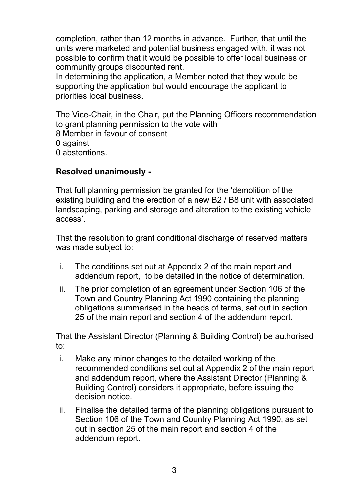completion, rather than 12 months in advance. Further, that until the units were marketed and potential business engaged with, it was not possible to confirm that it would be possible to offer local business or community groups discounted rent.

In determining the application, a Member noted that they would be supporting the application but would encourage the applicant to priorities local business.

The Vice-Chair, in the Chair, put the Planning Officers recommendation to grant planning permission to the vote with

8 Member in favour of consent

0 against

0 abstentions.

# **Resolved unanimously -**

That full planning permission be granted for the 'demolition of the existing building and the erection of a new B2 / B8 unit with associated landscaping, parking and storage and alteration to the existing vehicle access'.

That the resolution to grant conditional discharge of reserved matters was made subject to:

- i. The conditions set out at Appendix 2 of the main report and addendum report, to be detailed in the notice of determination.
- ii. The prior completion of an agreement under Section 106 of the Town and Country Planning Act 1990 containing the planning obligations summarised in the heads of terms, set out in section 25 of the main report and section 4 of the addendum report.

That the Assistant Director (Planning & Building Control) be authorised to:

- i. Make any minor changes to the detailed working of the recommended conditions set out at Appendix 2 of the main report and addendum report, where the Assistant Director (Planning & Building Control) considers it appropriate, before issuing the decision notice.
- ii. Finalise the detailed terms of the planning obligations pursuant to Section 106 of the Town and Country Planning Act 1990, as set out in section 25 of the main report and section 4 of the addendum report.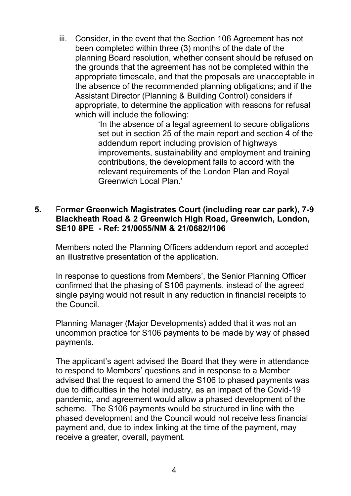iii. Consider, in the event that the Section 106 Agreement has not been completed within three (3) months of the date of the planning Board resolution, whether consent should be refused on the grounds that the agreement has not be completed within the appropriate timescale, and that the proposals are unacceptable in the absence of the recommended planning obligations; and if the Assistant Director (Planning & Building Control) considers if appropriate, to determine the application with reasons for refusal which will include the following:

> 'In the absence of a legal agreement to secure obligations set out in section 25 of the main report and section 4 of the addendum report including provision of highways improvements, sustainability and employment and training contributions, the development fails to accord with the relevant requirements of the London Plan and Royal Greenwich Local Plan.'

### **5.** Fo**rmer Greenwich Magistrates Court (including rear car park), 7-9 Blackheath Road & 2 Greenwich High Road, Greenwich, London, SE10 8PE - Ref: 21/0055/NM & 21/0682/I106**

Members noted the Planning Officers addendum report and accepted an illustrative presentation of the application.

In response to questions from Members', the Senior Planning Officer confirmed that the phasing of S106 payments, instead of the agreed single paying would not result in any reduction in financial receipts to the Council.

Planning Manager (Major Developments) added that it was not an uncommon practice for S106 payments to be made by way of phased payments.

The applicant's agent advised the Board that they were in attendance to respond to Members' questions and in response to a Member advised that the request to amend the S106 to phased payments was due to difficulties in the hotel industry, as an impact of the Covid-19 pandemic, and agreement would allow a phased development of the scheme. The S106 payments would be structured in line with the phased development and the Council would not receive less financial payment and, due to index linking at the time of the payment, may receive a greater, overall, payment.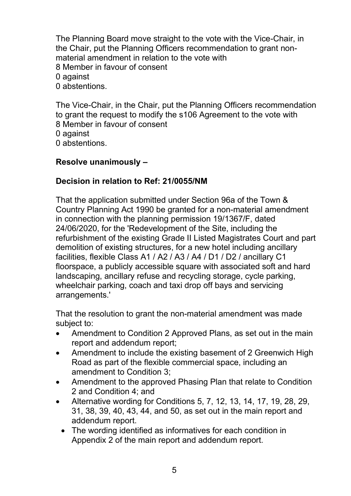The Planning Board move straight to the vote with the Vice-Chair, in the Chair, put the Planning Officers recommendation to grant nonmaterial amendment in relation to the vote with

8 Member in favour of consent

0 against

0 abstentions.

The Vice-Chair, in the Chair, put the Planning Officers recommendation to grant the request to modify the s106 Agreement to the vote with 8 Member in favour of consent

0 against

0 abstentions.

# **Resolve unanimously –**

# **Decision in relation to Ref: 21/0055/NM**

That the application submitted under Section 96a of the Town & Country Planning Act 1990 be granted for a non-material amendment in connection with the planning permission 19/1367/F, dated 24/06/2020, for the 'Redevelopment of the Site, including the refurbishment of the existing Grade II Listed Magistrates Court and part demolition of existing structures, for a new hotel including ancillary facilities, flexible Class A1 / A2 / A3 / A4 / D1 / D2 / ancillary C1 floorspace, a publicly accessible square with associated soft and hard landscaping, ancillary refuse and recycling storage, cycle parking, wheelchair parking, coach and taxi drop off bays and servicing arrangements.'

That the resolution to grant the non-material amendment was made subject to:

- Amendment to Condition 2 Approved Plans, as set out in the main report and addendum report;
- Amendment to include the existing basement of 2 Greenwich High Road as part of the flexible commercial space, including an amendment to Condition 3;
- Amendment to the approved Phasing Plan that relate to Condition 2 and Condition 4; and
- Alternative wording for Conditions 5, 7, 12, 13, 14, 17, 19, 28, 29, 31, 38, 39, 40, 43, 44, and 50, as set out in the main report and addendum report.
	- The wording identified as informatives for each condition in Appendix 2 of the main report and addendum report.